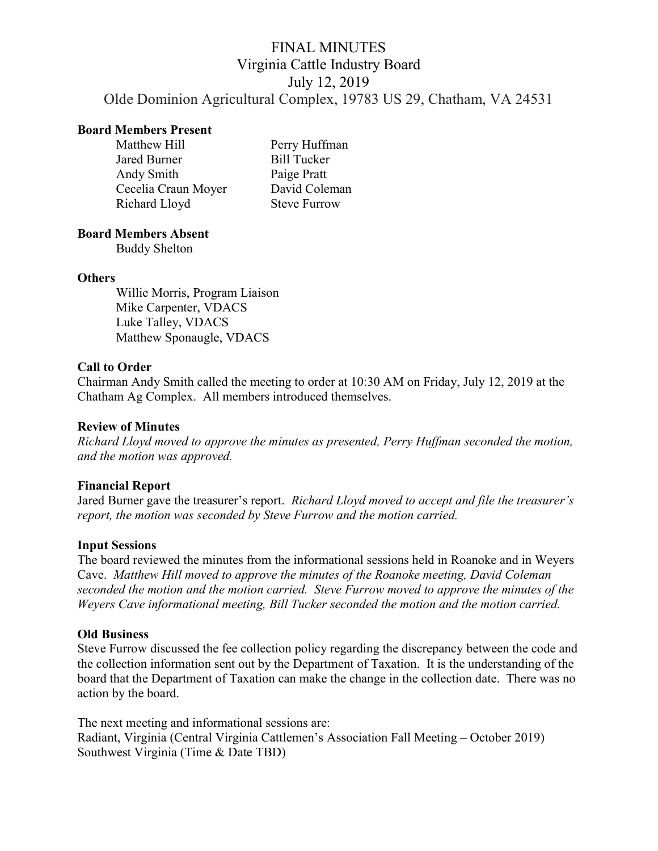# FINAL MINUTES Virginia Cattle Industry Board July 12, 2019 Olde Dominion Agricultural Complex, 19783 US 29, Chatham, VA 24531

## Board Members Present

| Matthew Hill        | Perry Huffman       |
|---------------------|---------------------|
| Jared Burner        | <b>Bill Tucker</b>  |
| Andy Smith          | Paige Pratt         |
| Cecelia Craun Moyer | David Coleman       |
| Richard Lloyd       | <b>Steve Furrow</b> |

## Board Members Absent

Buddy Shelton

### **Others**

Willie Morris, Program Liaison Mike Carpenter, VDACS Luke Talley, VDACS Matthew Sponaugle, VDACS

## Call to Order

Chairman Andy Smith called the meeting to order at 10:30 AM on Friday, July 12, 2019 at the Chatham Ag Complex. All members introduced themselves.

#### Review of Minutes

Richard Lloyd moved to approve the minutes as presented, Perry Huffman seconded the motion, and the motion was approved.

## Financial Report

Jared Burner gave the treasurer's report. Richard Lloyd moved to accept and file the treasurer's report, the motion was seconded by Steve Furrow and the motion carried.

#### Input Sessions

The board reviewed the minutes from the informational sessions held in Roanoke and in Weyers Cave. Matthew Hill moved to approve the minutes of the Roanoke meeting, David Coleman seconded the motion and the motion carried. Steve Furrow moved to approve the minutes of the Weyers Cave informational meeting, Bill Tucker seconded the motion and the motion carried.

#### Old Business

Steve Furrow discussed the fee collection policy regarding the discrepancy between the code and the collection information sent out by the Department of Taxation. It is the understanding of the board that the Department of Taxation can make the change in the collection date. There was no action by the board.

The next meeting and informational sessions are: Radiant, Virginia (Central Virginia Cattlemen's Association Fall Meeting – October 2019) Southwest Virginia (Time & Date TBD)